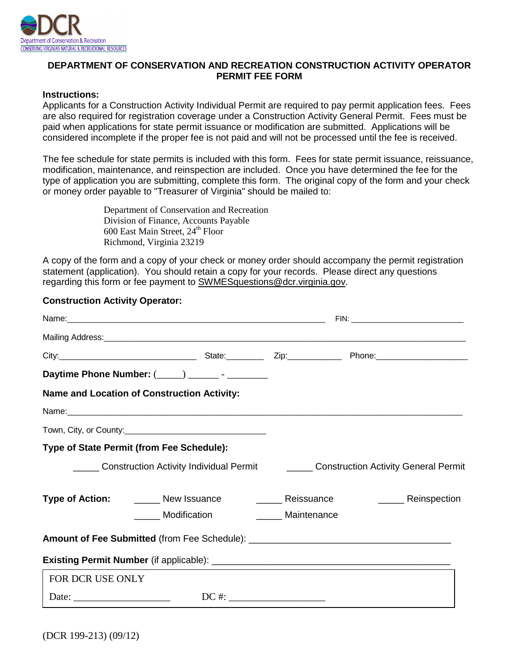

## **DEPARTMENT OF CONSERVATION AND RECREATION CONSTRUCTION ACTIVITY OPERATOR PERMIT FEE FORM**

#### **Instructions:**

Applicants for a Construction Activity Individual Permit are required to pay permit application fees. Fees are also required for registration coverage under a Construction Activity General Permit. Fees must be paid when applications for state permit issuance or modification are submitted. Applications will be considered incomplete if the proper fee is not paid and will not be processed until the fee is received.

The fee schedule for state permits is included with this form. Fees for state permit issuance, reissuance, modification, maintenance, and reinspection are included. Once you have determined the fee for the type of application you are submitting, complete this form. The original copy of the form and your check or money order payable to "Treasurer of Virginia" should be mailed to:

> Department of Conservation and Recreation Division of Finance, Accounts Payable  $600$  East Main Street,  $24<sup>th</sup>$  Floor Richmond, Virginia 23219

A copy of the form and a copy of your check or money order should accompany the permit registration statement (application). You should retain a copy for your records. Please direct any questions regarding this form or fee payment to SWMESquestions@dcr.virginia.gov.

## **Construction Activity Operator:**

| City: 2008. City: 2008. City: 2008. 2008. 2009. City: 2008. 2009. 2009. 2009. 2009. 2010. 2010. 2010. 2010. 2010. 2010. 2010. 2010. 2010. 2010. 2010. 2010. 2010. 2010. 2010. 2011. 2011. 2011. 2011. 2011. 2011. 2011. 2011. |  |             |                                                                              |
|-------------------------------------------------------------------------------------------------------------------------------------------------------------------------------------------------------------------------------|--|-------------|------------------------------------------------------------------------------|
| Daytime Phone Number: (____) ________- - _________                                                                                                                                                                            |  |             |                                                                              |
| Name and Location of Construction Activity:                                                                                                                                                                                   |  |             |                                                                              |
|                                                                                                                                                                                                                               |  |             |                                                                              |
|                                                                                                                                                                                                                               |  |             |                                                                              |
| <b>Type of State Permit (from Fee Schedule):</b>                                                                                                                                                                              |  |             |                                                                              |
|                                                                                                                                                                                                                               |  |             | Construction Activity Individual Permit Construction Activity General Permit |
| <b>Type of Action:</b> _______ New Issuance _________ Reissuance                                                                                                                                                              |  |             | ________ Reinspection                                                        |
| Modification                                                                                                                                                                                                                  |  | Maintenance |                                                                              |
|                                                                                                                                                                                                                               |  |             |                                                                              |
|                                                                                                                                                                                                                               |  |             |                                                                              |
| FOR DCR USE ONLY                                                                                                                                                                                                              |  |             |                                                                              |
|                                                                                                                                                                                                                               |  |             |                                                                              |